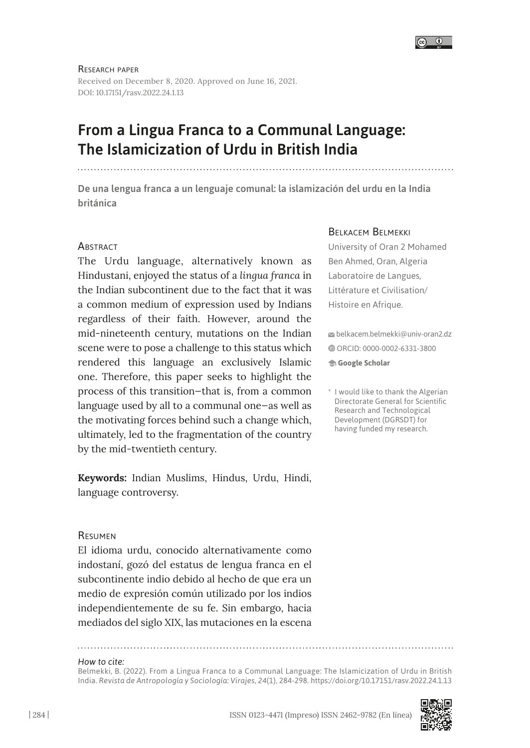

Research paper Received on December 8, 2020. Approved on June 16, 2021. DOI: 10.17151/rasv.2022.24.1.13

# From a Lingua Franca to a Communal Language: The Islamicization of Urdu in British India

De una lengua franca a un lenguaje comunal: la islamización del urdu en la India británica

### **ABSTRACT**

The Urdu language, alternatively known as Hindustani, enjoyed the status of a *lingua franca* in the Indian subcontinent due to the fact that it was a common medium of expression used by Indians regardless of their faith. However, around the mid-nineteenth century, mutations on the Indian scene were to pose a challenge to this status which rendered this language an exclusively Islamic one. Therefore, this paper seeks to highlight the process of this transition—that is, from a common language used by all to a communal one—as well as the motivating forces behind such a change which, ultimately, led to the fragmentation of the country by the mid-twentieth century.

**Keywords:** Indian Muslims, Hindus, Urdu, Hindi, language controversy.

### Resumen

El idioma urdu, conocido alternativamente como indostaní, gozó del estatus de lengua franca en el subcontinente indio debido al hecho de que era un medio de expresión común utilizado por los indios independientemente de su fe. Sin embargo, hacia mediados del siglo XIX, las mutaciones en la escena

### *How to cite:*

Belmekki, B. (2022). From a Lingua Franca to a Communal Language: The Islamicization of Urdu in British India. *Revista de Antropología y Sociología: Virajes, 24*(1), 284-298. <https://doi.org/10.17151/rasv.2022.24.1.13>

### Belkacem Belmekki

University of Oran 2 Mohamed Ben Ahmed, Oran, Algeria Laboratoire de Langues, Littérature et Civilisation/ Histoire en Afrique.

 belkacem.belmekki@univ-oran2.dz ORCID: [0000-0002-6331-3800](https://orcid.org/0000-0002-6331-3800)  **[Google Scholar](https://scholar.google.com/citations?user=M50ICywAAAAJ&hl=en)**

<sup>\*</sup> I would like to thank the Algerian Directorate General for Scientific Research and Technological Development (DGRSDT) for having funded my research.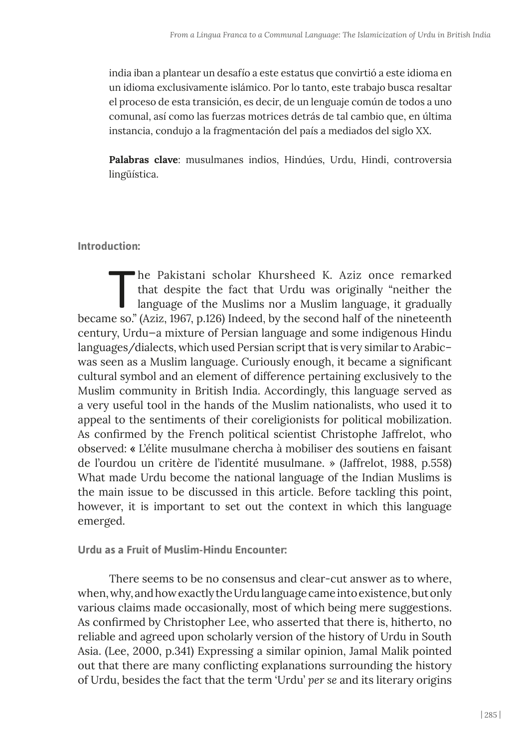india iban a plantear un desafío a este estatus que convirtió a este idioma en un idioma exclusivamente islámico. Por lo tanto, este trabajo busca resaltar el proceso de esta transición, es decir, de un lenguaje común de todos a uno comunal, así como las fuerzas motrices detrás de tal cambio que, en última instancia, condujo a la fragmentación del país a mediados del siglo XX.

**Palabras clave**: musulmanes indios, Hindúes, Urdu, Hindi, controversia lingüística.

# **Introduction:**

The Pakistani scholar Khursheed K. Aziz once remarked<br>that despite the fact that Urdu was originally "neither the<br>language of the Muslims nor a Muslim language, it gradually<br>see as "(Aziz 1967 p.126) Indeed by the seeonal that despite the fact that Urdu was originally "neither the language of the Muslims nor a Muslim language, it gradually became so." (Aziz, 1967, p.126) Indeed, by the second half of the nineteenth century, Urdu—a mixture of Persian language and some indigenous Hindu languages/dialects, which used Persian script that is very similar to Arabic– was seen as a Muslim language. Curiously enough, it became a significant cultural symbol and an element of difference pertaining exclusively to the Muslim community in British India. Accordingly, this language served as a very useful tool in the hands of the Muslim nationalists, who used it to appeal to the sentiments of their coreligionists for political mobilization. As confirmed by the French political scientist Christophe Jaffrelot, who observed: **«** L'élite musulmane chercha à mobiliser des soutiens en faisant de l'ourdou un critère de l'identité musulmane. » (Jaffrelot, 1988, p.558) What made Urdu become the national language of the Indian Muslims is the main issue to be discussed in this article. Before tackling this point, however, it is important to set out the context in which this language emerged.

**Urdu as a Fruit of Muslim-Hindu Encounter:**

There seems to be no consensus and clear-cut answer as to where, when, why, and how exactly the Urdu language came into existence, but only various claims made occasionally, most of which being mere suggestions. As confirmed by Christopher Lee, who asserted that there is, hitherto, no reliable and agreed upon scholarly version of the history of Urdu in South Asia. (Lee, 2000, p.341) Expressing a similar opinion, Jamal Malik pointed out that there are many conflicting explanations surrounding the history of Urdu, besides the fact that the term 'Urdu' *per se* and its literary origins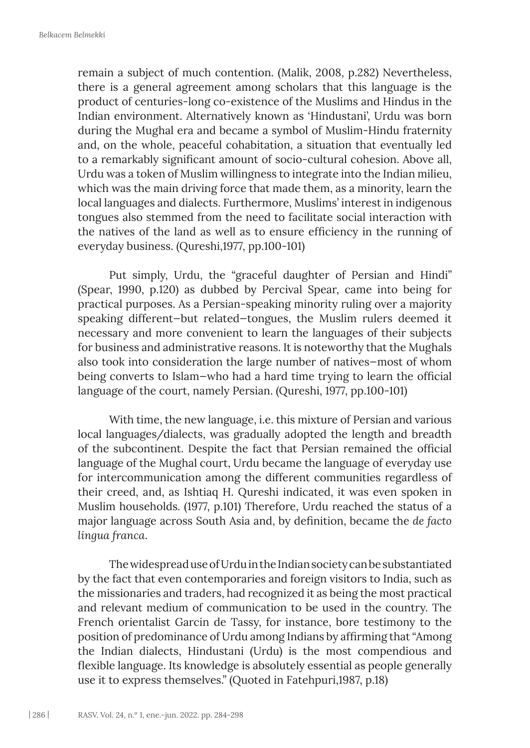remain a subject of much contention. (Malik, 2008, p.282) Nevertheless, there is a general agreement among scholars that this language is the product of centuries-long co-existence of the Muslims and Hindus in the Indian environment. Alternatively known as 'Hindustani', Urdu was born during the Mughal era and became a symbol of Muslim-Hindu fraternity and, on the whole, peaceful cohabitation, a situation that eventually led to a remarkably significant amount of socio-cultural cohesion. Above all, Urdu was a token of Muslim willingness to integrate into the Indian milieu, which was the main driving force that made them, as a minority, learn the local languages and dialects. Furthermore, Muslims' interest in indigenous tongues also stemmed from the need to facilitate social interaction with the natives of the land as well as to ensure efficiency in the running of everyday business. (Qureshi,1977, pp.100-101)

Put simply, Urdu, the "graceful daughter of Persian and Hindi" (Spear, 1990, p.120) as dubbed by Percival Spear, came into being for practical purposes. As a Persian-speaking minority ruling over a majority speaking different—but related—tongues, the Muslim rulers deemed it necessary and more convenient to learn the languages of their subjects for business and administrative reasons. It is noteworthy that the Mughals also took into consideration the large number of natives—most of whom being converts to Islam—who had a hard time trying to learn the official language of the court, namely Persian. (Qureshi, 1977, pp.100-101)

With time, the new language, i.e. this mixture of Persian and various local languages/dialects, was gradually adopted the length and breadth of the subcontinent. Despite the fact that Persian remained the official language of the Mughal court, Urdu became the language of everyday use for intercommunication among the different communities regardless of their creed, and, as Ishtiaq H. Qureshi indicated, it was even spoken in Muslim households. (1977, p.101) Therefore, Urdu reached the status of a major language across South Asia and, by definition, became the *de facto lingua franca*.

The widespread use of Urdu in the Indian society can be substantiated by the fact that even contemporaries and foreign visitors to India, such as the missionaries and traders, had recognized it as being the most practical and relevant medium of communication to be used in the country. The French orientalist Garcin de Tassy, for instance, bore testimony to the position of predominance of Urdu among Indians by affirming that "Among the Indian dialects, Hindustani (Urdu) is the most compendious and flexible language. Its knowledge is absolutely essential as people generally use it to express themselves." (Quoted in Fatehpuri,1987, p.18)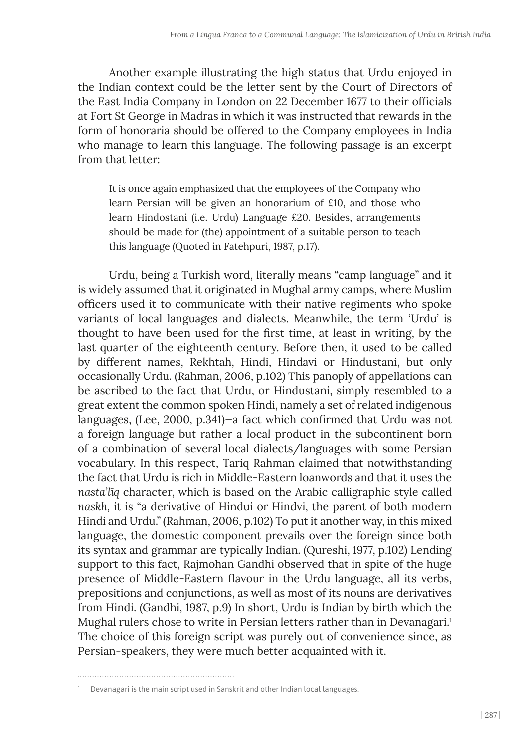Another example illustrating the high status that Urdu enjoyed in the Indian context could be the letter sent by the Court of Directors of the East India Company in London on 22 December 1677 to their officials at Fort St George in Madras in which it was instructed that rewards in the form of honoraria should be offered to the Company employees in India who manage to learn this language. The following passage is an excerpt from that letter:

It is once again emphasized that the employees of the Company who learn Persian will be given an honorarium of £10, and those who learn Hindostani (i.e. Urdu) Language £20. Besides, arrangements should be made for (the) appointment of a suitable person to teach this language (Quoted in Fatehpuri, 1987, p.17).

Urdu, being a Turkish word, literally means "camp language" and it is widely assumed that it originated in Mughal army camps, where Muslim officers used it to communicate with their native regiments who spoke variants of local languages and dialects. Meanwhile, the term 'Urdu' is thought to have been used for the first time, at least in writing, by the last quarter of the eighteenth century. Before then, it used to be called by different names, Rekhtah, Hindi, Hindavi or Hindustani, but only occasionally Urdu. (Rahman, 2006, p.102) This panoply of appellations can be ascribed to the fact that Urdu, or Hindustani, simply resembled to a great extent the common spoken Hindi, namely a set of related indigenous languages, (Lee, 2000, p.341)—a fact which confirmed that Urdu was not a foreign language but rather a local product in the subcontinent born of a combination of several local dialects/languages with some Persian vocabulary. In this respect, Tariq Rahman claimed that notwithstanding the fact that Urdu is rich in Middle-Eastern loanwords and that it uses the *nasta'līq* character, which is based on the Arabic calligraphic style called *naskh,* it is "a derivative of Hindui or Hindvi, the parent of both modern Hindi and Urdu." (Rahman, 2006, p.102) To put it another way, in this mixed language, the domestic component prevails over the foreign since both its syntax and grammar are typically Indian. (Qureshi, 1977, p.102) Lending support to this fact, Rajmohan Gandhi observed that in spite of the huge presence of Middle-Eastern flavour in the Urdu language, all its verbs, prepositions and conjunctions, as well as most of its nouns are derivatives from Hindi. (Gandhi, 1987, p.9) In short, Urdu is Indian by birth which the Mughal rulers chose to write in Persian letters rather than in Devanagari.<sup>1</sup> The choice of this foreign script was purely out of convenience since, as Persian-speakers, they were much better acquainted with it.

 $1$  Devanagari is the main script used in Sanskrit and other Indian local languages.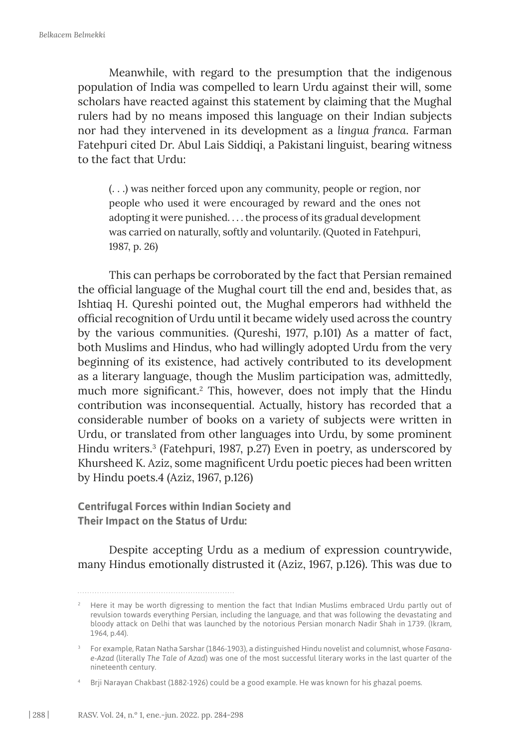Meanwhile, with regard to the presumption that the indigenous population of India was compelled to learn Urdu against their will, some scholars have reacted against this statement by claiming that the Mughal rulers had by no means imposed this language on their Indian subjects nor had they intervened in its development as a *lingua franca*. Farman Fatehpuri cited Dr. Abul Lais Siddiqi, a Pakistani linguist, bearing witness to the fact that Urdu:

(. . .) was neither forced upon any community, people or region, nor people who used it were encouraged by reward and the ones not adopting it were punished. . . . the process of its gradual development was carried on naturally, softly and voluntarily. (Quoted in Fatehpuri, 1987, p. 26)

This can perhaps be corroborated by the fact that Persian remained the official language of the Mughal court till the end and, besides that, as Ishtiaq H. Qureshi pointed out, the Mughal emperors had withheld the official recognition of Urdu until it became widely used across the country by the various communities. (Qureshi, 1977, p.101) As a matter of fact, both Muslims and Hindus, who had willingly adopted Urdu from the very beginning of its existence, had actively contributed to its development as a literary language, though the Muslim participation was, admittedly, much more significant.<sup>2</sup> This, however, does not imply that the Hindu contribution was inconsequential. Actually, history has recorded that a considerable number of books on a variety of subjects were written in Urdu, or translated from other languages into Urdu, by some prominent Hindu writers.3 (Fatehpuri, 1987, p.27) Even in poetry, as underscored by Khursheed K. Aziz, some magnificent Urdu poetic pieces had been written by Hindu poets.4 (Aziz, 1967, p.126)

**Centrifugal Forces within Indian Society and Their Impact on the Status of Urdu:**

Despite accepting Urdu as a medium of expression countrywide, many Hindus emotionally distrusted it (Aziz, 1967, p.126). This was due to

<sup>&</sup>lt;sup>2</sup> Here it may be worth digressing to mention the fact that Indian Muslims embraced Urdu partly out of revulsion towards everything Persian, including the language, and that was following the devastating and bloody attack on Delhi that was launched by the notorious Persian monarch Nadir Shah in 1739. (Ikram, 1964, p.44).

<sup>3</sup> For example, Ratan Natha Sarshar (1846-1903), a distinguished Hindu novelist and columnist, whose *Fasanae-Azad* (literally *The Tale of Azad*) was one of the most successful literary works in the last quarter of the nineteenth century.

<sup>4</sup> Brji Narayan Chakbast (1882-1926) could be a good example. He was known for his ghazal poems.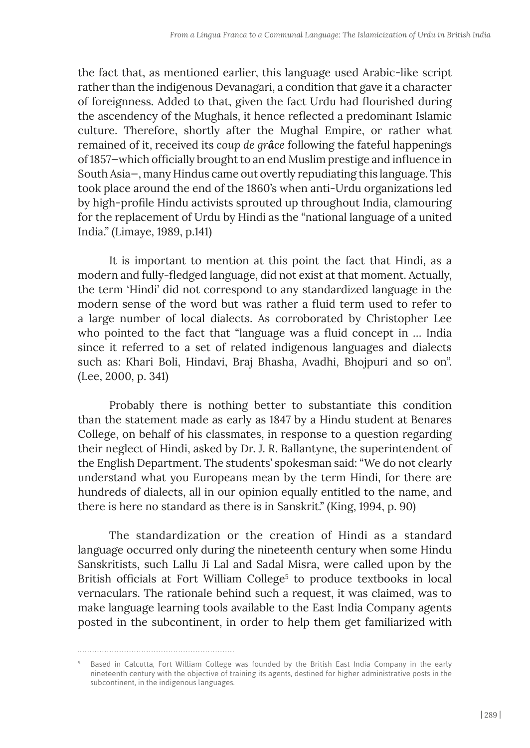the fact that, as mentioned earlier, this language used Arabic-like script rather than the indigenous Devanagari, a condition that gave it a character of foreignness. Added to that, given the fact Urdu had flourished during the ascendency of the Mughals, it hence reflected a predominant Islamic culture. Therefore, shortly after the Mughal Empire, or rather what remained of it, received its *coup de grâce* following the fateful happenings of 1857—which officially brought to an end Muslim prestige and influence in South Asia—, many Hindus came out overtly repudiating this language. This took place around the end of the 1860's when anti-Urdu organizations led by high-profile Hindu activists sprouted up throughout India, clamouring for the replacement of Urdu by Hindi as the "national language of a united India." (Limaye, 1989, p.141)

It is important to mention at this point the fact that Hindi, as a modern and fully-fledged language, did not exist at that moment. Actually, the term 'Hindi' did not correspond to any standardized language in the modern sense of the word but was rather a fluid term used to refer to a large number of local dialects. As corroborated by Christopher Lee who pointed to the fact that "language was a fluid concept in … India since it referred to a set of related indigenous languages and dialects such as: Khari Boli, Hindavi, Braj Bhasha, Avadhi, Bhojpuri and so on". (Lee, 2000, p. 341)

Probably there is nothing better to substantiate this condition than the statement made as early as 1847 by a Hindu student at Benares College, on behalf of his classmates, in response to a question regarding their neglect of Hindi, asked by Dr. J. R. Ballantyne, the superintendent of the English Department. The students' spokesman said: "We do not clearly understand what you Europeans mean by the term Hindi, for there are hundreds of dialects, all in our opinion equally entitled to the name, and there is here no standard as there is in Sanskrit." (King, 1994, p. 90)

The standardization or the creation of Hindi as a standard language occurred only during the nineteenth century when some Hindu Sanskritists, such Lallu Ji Lal and Sadal Misra, were called upon by the British officials at Fort William College<sup>5</sup> to produce textbooks in local vernaculars. The rationale behind such a request, it was claimed, was to make language learning tools available to the East India Company agents posted in the subcontinent, in order to help them get familiarized with

<sup>&</sup>lt;sup>5</sup> Based in Calcutta, Fort William College was founded by the British East India Company in the early nineteenth century with the objective of training its agents, destined for higher administrative posts in the subcontinent, in the indigenous languages.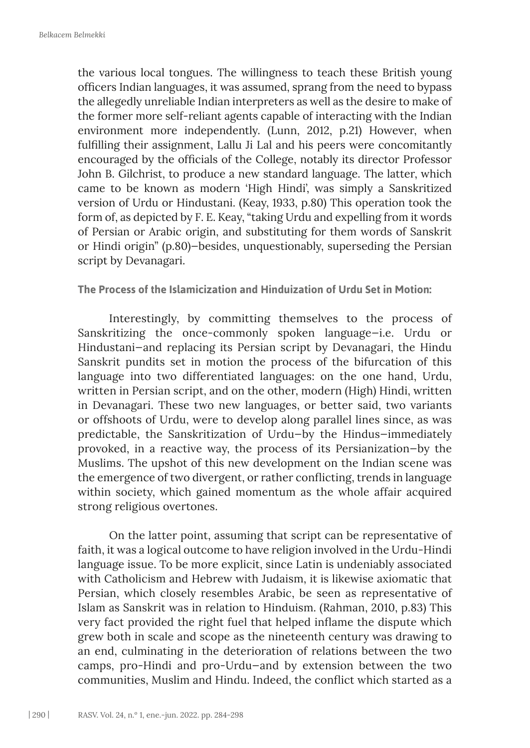the various local tongues. The willingness to teach these British young officers Indian languages, it was assumed, sprang from the need to bypass the allegedly unreliable Indian interpreters as well as the desire to make of the former more self-reliant agents capable of interacting with the Indian environment more independently. (Lunn, 2012, p.21) However, when fulfilling their assignment, Lallu Ji Lal and his peers were concomitantly encouraged by the officials of the College, notably its director Professor John B. Gilchrist, to produce a new standard language. The latter, which came to be known as modern 'High Hindi', was simply a Sanskritized version of Urdu or Hindustani. (Keay, 1933, p.80) This operation took the form of, as depicted by F. E. Keay, "taking Urdu and expelling from it words of Persian or Arabic origin, and substituting for them words of Sanskrit or Hindi origin" (p.80)—besides, unquestionably, superseding the Persian script by Devanagari.

**The Process of the Islamicization and Hinduization of Urdu Set in Motion:**

Interestingly, by committing themselves to the process of Sanskritizing the once-commonly spoken language—i.e. Urdu or Hindustani—and replacing its Persian script by Devanagari, the Hindu Sanskrit pundits set in motion the process of the bifurcation of this language into two differentiated languages: on the one hand, Urdu, written in Persian script, and on the other, modern (High) Hindi, written in Devanagari. These two new languages, or better said, two variants or offshoots of Urdu, were to develop along parallel lines since, as was predictable, the Sanskritization of Urdu—by the Hindus—immediately provoked, in a reactive way, the process of its Persianization—by the Muslims. The upshot of this new development on the Indian scene was the emergence of two divergent, or rather conflicting, trends in language within society, which gained momentum as the whole affair acquired strong religious overtones.

On the latter point, assuming that script can be representative of faith, it was a logical outcome to have religion involved in the Urdu-Hindi language issue. To be more explicit, since Latin is undeniably associated with Catholicism and Hebrew with Judaism, it is likewise axiomatic that Persian, which closely resembles Arabic, be seen as representative of Islam as Sanskrit was in relation to Hinduism. (Rahman, 2010, p.83) This very fact provided the right fuel that helped inflame the dispute which grew both in scale and scope as the nineteenth century was drawing to an end, culminating in the deterioration of relations between the two camps, pro-Hindi and pro-Urdu—and by extension between the two communities, Muslim and Hindu. Indeed, the conflict which started as a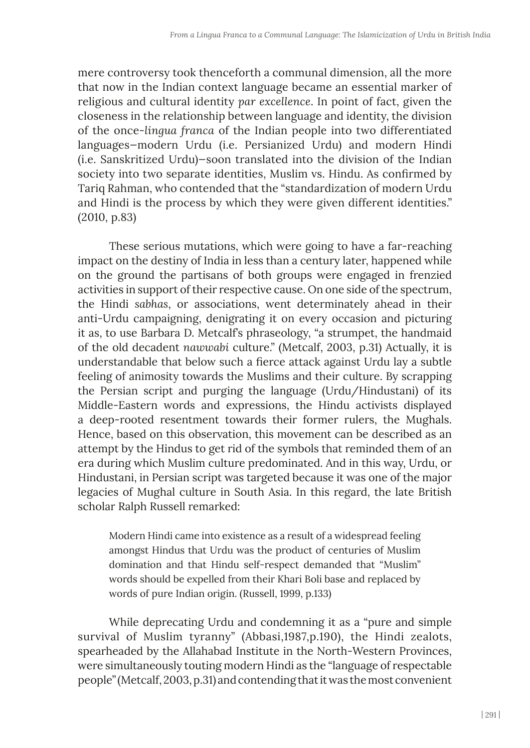mere controversy took thenceforth a communal dimension, all the more that now in the Indian context language became an essential marker of religious and cultural identity *par excellence*. In point of fact, given the closeness in the relationship between language and identity, the division of the once-*lingua franca* of the Indian people into two differentiated languages—modern Urdu (i.e. Persianized Urdu) and modern Hindi (i.e. Sanskritized Urdu)—soon translated into the division of the Indian society into two separate identities, Muslim vs. Hindu. As confirmed by Tariq Rahman, who contended that the "standardization of modern Urdu and Hindi is the process by which they were given different identities." (2010, p.83)

These serious mutations, which were going to have a far-reaching impact on the destiny of India in less than a century later, happened while on the ground the partisans of both groups were engaged in frenzied activities in support of their respective cause. On one side of the spectrum, the Hindi *sabhas*, or associations, went determinately ahead in their anti-Urdu campaigning, denigrating it on every occasion and picturing it as, to use Barbara D. Metcalf's phraseology, "a strumpet, the handmaid of the old decadent *nawwabi* culture." (Metcalf, 2003, p.31) Actually, it is understandable that below such a fierce attack against Urdu lay a subtle feeling of animosity towards the Muslims and their culture. By scrapping the Persian script and purging the language (Urdu/Hindustani) of its Middle-Eastern words and expressions, the Hindu activists displayed a deep-rooted resentment towards their former rulers, the Mughals. Hence, based on this observation, this movement can be described as an attempt by the Hindus to get rid of the symbols that reminded them of an era during which Muslim culture predominated. And in this way, Urdu, or Hindustani, in Persian script was targeted because it was one of the major legacies of Mughal culture in South Asia. In this regard, the late British scholar Ralph Russell remarked:

Modern Hindi came into existence as a result of a widespread feeling amongst Hindus that Urdu was the product of centuries of Muslim domination and that Hindu self-respect demanded that "Muslim" words should be expelled from their Khari Boli base and replaced by words of pure Indian origin. (Russell, 1999, p.133)

While deprecating Urdu and condemning it as a "pure and simple survival of Muslim tyranny" (Abbasi,1987,p.190), the Hindi zealots, spearheaded by the Allahabad Institute in the North-Western Provinces, were simultaneously touting modern Hindi as the "language of respectable people" (Metcalf, 2003, p.31) and contending that it was the most convenient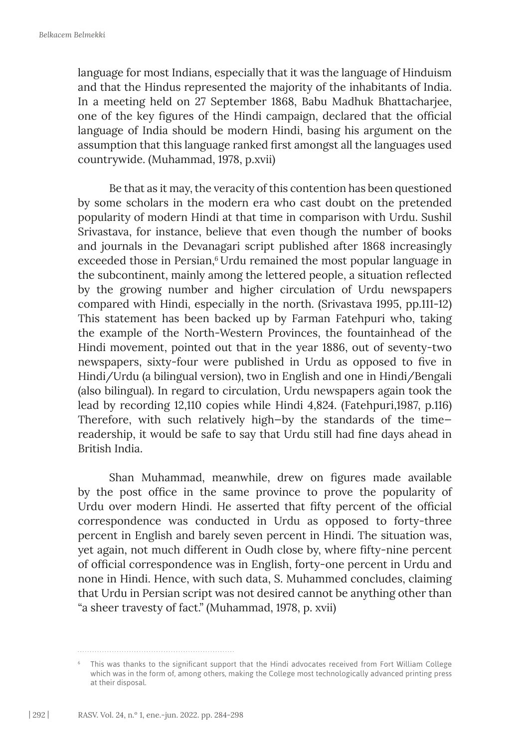language for most Indians, especially that it was the language of Hinduism and that the Hindus represented the majority of the inhabitants of India. In a meeting held on 27 September 1868, Babu Madhuk Bhattacharjee, one of the key figures of the Hindi campaign, declared that the official language of India should be modern Hindi, basing his argument on the assumption that this language ranked first amongst all the languages used countrywide. (Muhammad, 1978, p.xvii)

Be that as it may, the veracity of this contention has been questioned by some scholars in the modern era who cast doubt on the pretended popularity of modern Hindi at that time in comparison with Urdu. Sushil Srivastava, for instance, believe that even though the number of books and journals in the Devanagari script published after 1868 increasingly exceeded those in Persian,<sup>6</sup> Urdu remained the most popular language in the subcontinent, mainly among the lettered people, a situation reflected by the growing number and higher circulation of Urdu newspapers compared with Hindi, especially in the north. (Srivastava 1995, pp.111-12) This statement has been backed up by Farman Fatehpuri who, taking the example of the North-Western Provinces, the fountainhead of the Hindi movement, pointed out that in the year 1886, out of seventy-two newspapers, sixty-four were published in Urdu as opposed to five in Hindi/Urdu (a bilingual version), two in English and one in Hindi/Bengali (also bilingual). In regard to circulation, Urdu newspapers again took the lead by recording 12,110 copies while Hindi 4,824. (Fatehpuri,1987, p.116) Therefore, with such relatively high—by the standards of the time readership, it would be safe to say that Urdu still had fine days ahead in British India.

Shan Muhammad, meanwhile, drew on figures made available by the post office in the same province to prove the popularity of Urdu over modern Hindi. He asserted that fifty percent of the official correspondence was conducted in Urdu as opposed to forty-three percent in English and barely seven percent in Hindi. The situation was, yet again, not much different in Oudh close by, where fifty-nine percent of official correspondence was in English, forty-one percent in Urdu and none in Hindi. Hence, with such data, S. Muhammed concludes, claiming that Urdu in Persian script was not desired cannot be anything other than "a sheer travesty of fact." (Muhammad, 1978, p. xvii)

<sup>6</sup> This was thanks to the significant support that the Hindi advocates received from Fort William College which was in the form of, among others, making the College most technologically advanced printing press at their disposal.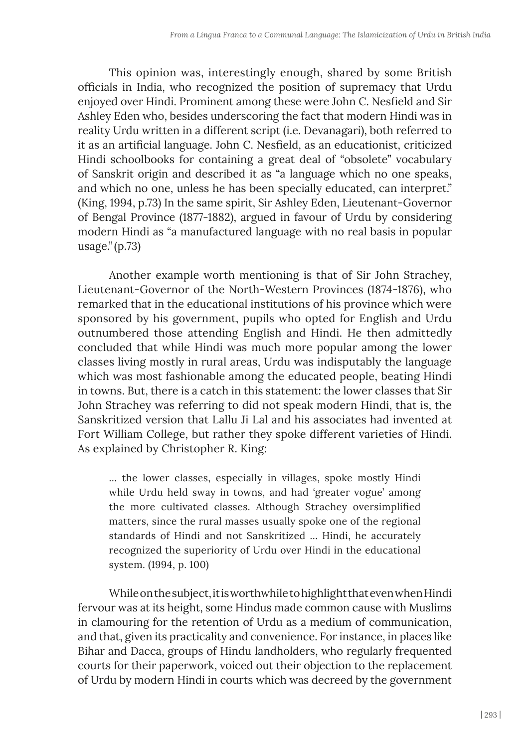This opinion was, interestingly enough, shared by some British officials in India, who recognized the position of supremacy that Urdu enjoyed over Hindi. Prominent among these were John C. Nesfield and Sir Ashley Eden who, besides underscoring the fact that modern Hindi was in reality Urdu written in a different script (i.e. Devanagari), both referred to it as an artificial language. John C. Nesfield, as an educationist, criticized Hindi schoolbooks for containing a great deal of "obsolete" vocabulary of Sanskrit origin and described it as "a language which no one speaks, and which no one, unless he has been specially educated, can interpret." (King, 1994, p.73) In the same spirit, Sir Ashley Eden, Lieutenant-Governor of Bengal Province (1877-1882), argued in favour of Urdu by considering modern Hindi as "a manufactured language with no real basis in popular usage."(p.73)

Another example worth mentioning is that of Sir John Strachey, Lieutenant-Governor of the North-Western Provinces (1874-1876), who remarked that in the educational institutions of his province which were sponsored by his government, pupils who opted for English and Urdu outnumbered those attending English and Hindi. He then admittedly concluded that while Hindi was much more popular among the lower classes living mostly in rural areas, Urdu was indisputably the language which was most fashionable among the educated people, beating Hindi in towns. But, there is a catch in this statement: the lower classes that Sir John Strachey was referring to did not speak modern Hindi, that is, the Sanskritized version that Lallu Ji Lal and his associates had invented at Fort William College, but rather they spoke different varieties of Hindi. As explained by Christopher R. King:

… the lower classes, especially in villages, spoke mostly Hindi while Urdu held sway in towns, and had 'greater vogue' among the more cultivated classes. Although Strachey oversimplified matters, since the rural masses usually spoke one of the regional standards of Hindi and not Sanskritized … Hindi, he accurately recognized the superiority of Urdu over Hindi in the educational system. (1994, p. 100)

While on the subject, it is worthwhile to highlight that even when Hindi fervour was at its height, some Hindus made common cause with Muslims in clamouring for the retention of Urdu as a medium of communication, and that, given its practicality and convenience. For instance, in places like Bihar and Dacca, groups of Hindu landholders, who regularly frequented courts for their paperwork, voiced out their objection to the replacement of Urdu by modern Hindi in courts which was decreed by the government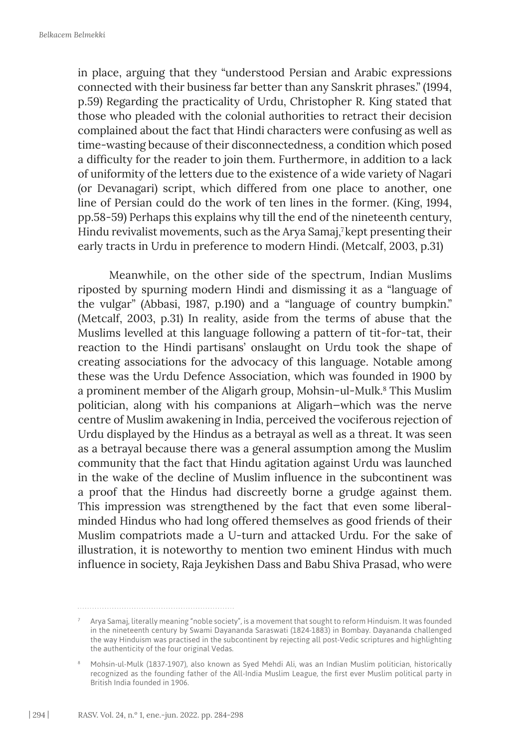in place, arguing that they "understood Persian and Arabic expressions connected with their business far better than any Sanskrit phrases." (1994, p.59) Regarding the practicality of Urdu, Christopher R. King stated that those who pleaded with the colonial authorities to retract their decision complained about the fact that Hindi characters were confusing as well as time-wasting because of their disconnectedness, a condition which posed a difficulty for the reader to join them. Furthermore, in addition to a lack of uniformity of the letters due to the existence of a wide variety of Nagari (or Devanagari) script, which differed from one place to another, one line of Persian could do the work of ten lines in the former. (King, 1994, pp.58-59) Perhaps this explains why till the end of the nineteenth century, Hindu revivalist movements, such as the Arya Samaj,<sup>7</sup> kept presenting their early tracts in Urdu in preference to modern Hindi. (Metcalf, 2003, p.31)

Meanwhile, on the other side of the spectrum, Indian Muslims riposted by spurning modern Hindi and dismissing it as a "language of the vulgar" (Abbasi, 1987, p.190) and a "language of country bumpkin." (Metcalf, 2003, p.31) In reality, aside from the terms of abuse that the Muslims levelled at this language following a pattern of tit-for-tat, their reaction to the Hindi partisans' onslaught on Urdu took the shape of creating associations for the advocacy of this language. Notable among these was the Urdu Defence Association, which was founded in 1900 by a prominent member of the Aligarh group, Mohsin-ul-Mulk.<sup>8</sup> This Muslim politician, along with his companions at Aligarh—which was the nerve centre of Muslim awakening in India, perceived the vociferous rejection of Urdu displayed by the Hindus as a betrayal as well as a threat. It was seen as a betrayal because there was a general assumption among the Muslim community that the fact that Hindu agitation against Urdu was launched in the wake of the decline of Muslim influence in the subcontinent was a proof that the Hindus had discreetly borne a grudge against them. This impression was strengthened by the fact that even some liberalminded Hindus who had long offered themselves as good friends of their Muslim compatriots made a U-turn and attacked Urdu. For the sake of illustration, it is noteworthy to mention two eminent Hindus with much influence in society, Raja Jeykishen Dass and Babu Shiva Prasad, who were

 $7$  Arya Samaj, literally meaning "noble society", is a movement that sought to reform Hinduism. It was founded in the nineteenth century by Swami Dayananda Saraswati (1824-1883) in Bombay. Dayananda challenged the way Hinduism was practised in the subcontinent by rejecting all post-Vedic scriptures and highlighting the authenticity of the four original Vedas.

<sup>8</sup> Mohsin-ul-Mulk (1837-1907), also known as Syed Mehdi Ali, was an Indian Muslim politician, historically recognized as the founding father of the All-India Muslim League, the first ever Muslim political party in British India founded in 1906.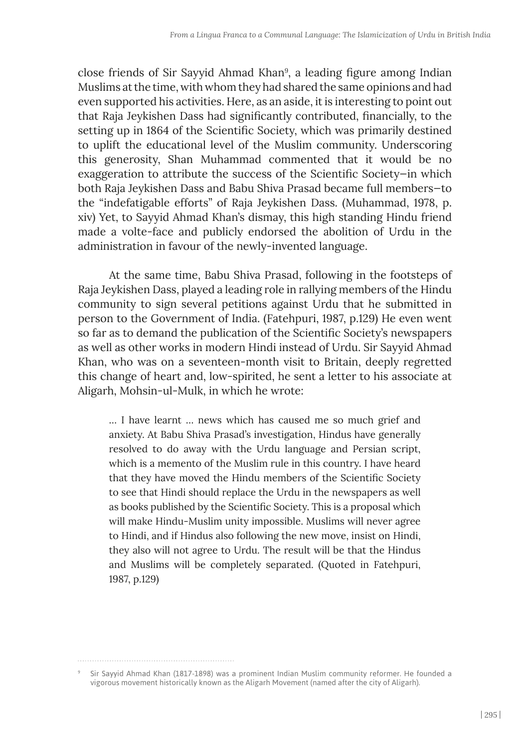close friends of Sir Sayyid Ahmad Khan<sup>9</sup>, a leading figure among Indian Muslims at the time, with whom they had shared the same opinions and had even supported his activities. Here, as an aside, it is interesting to point out that Raja Jeykishen Dass had significantly contributed, financially, to the setting up in 1864 of the Scientific Society, which was primarily destined to uplift the educational level of the Muslim community. Underscoring this generosity, Shan Muhammad commented that it would be no exaggeration to attribute the success of the Scientific Society—in which both Raja Jeykishen Dass and Babu Shiva Prasad became full members—to the "indefatigable efforts" of Raja Jeykishen Dass. (Muhammad, 1978, p. xiv) Yet, to Sayyid Ahmad Khan's dismay, this high standing Hindu friend made a volte-face and publicly endorsed the abolition of Urdu in the administration in favour of the newly-invented language.

At the same time, Babu Shiva Prasad, following in the footsteps of Raja Jeykishen Dass, played a leading role in rallying members of the Hindu community to sign several petitions against Urdu that he submitted in person to the Government of India. (Fatehpuri, 1987, p.129) He even went so far as to demand the publication of the Scientific Society's newspapers as well as other works in modern Hindi instead of Urdu. Sir Sayyid Ahmad Khan, who was on a seventeen-month visit to Britain, deeply regretted this change of heart and, low-spirited, he sent a letter to his associate at Aligarh, Mohsin-ul-Mulk, in which he wrote:

… I have learnt … news which has caused me so much grief and anxiety. At Babu Shiva Prasad's investigation, Hindus have generally resolved to do away with the Urdu language and Persian script, which is a memento of the Muslim rule in this country. I have heard that they have moved the Hindu members of the Scientific Society to see that Hindi should replace the Urdu in the newspapers as well as books published by the Scientific Society. This is a proposal which will make Hindu-Muslim unity impossible. Muslims will never agree to Hindi, and if Hindus also following the new move, insist on Hindi, they also will not agree to Urdu. The result will be that the Hindus and Muslims will be completely separated. (Quoted in Fatehpuri, 1987, p.129)

Sir Sayyid Ahmad Khan (1817-1898) was a prominent Indian Muslim community reformer. He founded a vigorous movement historically known as the Aligarh Movement (named after the city of Aligarh).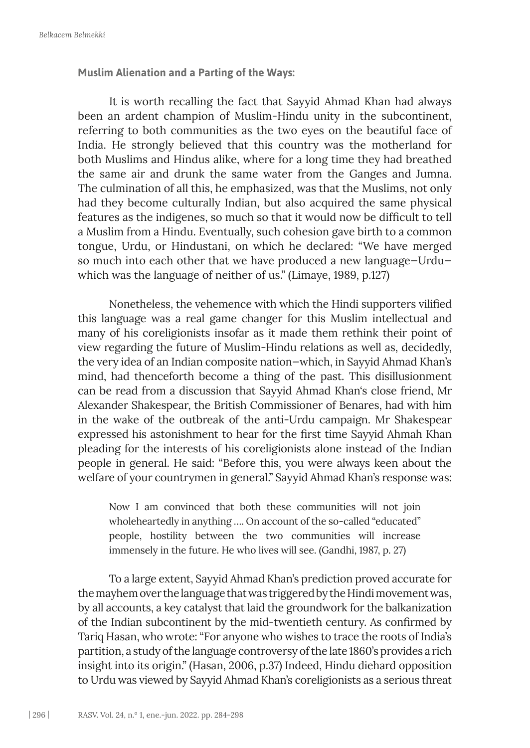**Muslim Alienation and a Parting of the Ways:**

It is worth recalling the fact that Sayyid Ahmad Khan had always been an ardent champion of Muslim-Hindu unity in the subcontinent, referring to both communities as the two eyes on the beautiful face of India. He strongly believed that this country was the motherland for both Muslims and Hindus alike, where for a long time they had breathed the same air and drunk the same water from the Ganges and Jumna. The culmination of all this, he emphasized, was that the Muslims, not only had they become culturally Indian, but also acquired the same physical features as the indigenes, so much so that it would now be difficult to tell a Muslim from a Hindu. Eventually, such cohesion gave birth to a common tongue, Urdu, or Hindustani, on which he declared: "We have merged so much into each other that we have produced a new language—Urdu which was the language of neither of us." (Limaye, 1989, p.127)

Nonetheless, the vehemence with which the Hindi supporters vilified this language was a real game changer for this Muslim intellectual and many of his coreligionists insofar as it made them rethink their point of view regarding the future of Muslim-Hindu relations as well as, decidedly, the very idea of an Indian composite nation—which, in Sayyid Ahmad Khan's mind, had thenceforth become a thing of the past. This disillusionment can be read from a discussion that Sayyid Ahmad Khan's close friend, Mr Alexander Shakespear, the British Commissioner of Benares, had with him in the wake of the outbreak of the anti-Urdu campaign. Mr Shakespear expressed his astonishment to hear for the first time Sayyid Ahmah Khan pleading for the interests of his coreligionists alone instead of the Indian people in general. He said: "Before this, you were always keen about the welfare of your countrymen in general." Sayyid Ahmad Khan's response was:

Now I am convinced that both these communities will not join wholeheartedly in anything …. On account of the so-called "educated" people, hostility between the two communities will increase immensely in the future. He who lives will see. (Gandhi, 1987, p. 27)

To a large extent, Sayyid Ahmad Khan's prediction proved accurate for the mayhem over the language that was triggered by the Hindi movement was, by all accounts, a key catalyst that laid the groundwork for the balkanization of the Indian subcontinent by the mid-twentieth century. As confirmed by Tariq Hasan, who wrote: "For anyone who wishes to trace the roots of India's partition, a study of the language controversy of the late 1860's provides a rich insight into its origin." (Hasan, 2006, p.37) Indeed, Hindu diehard opposition to Urdu was viewed by Sayyid Ahmad Khan's coreligionists as a serious threat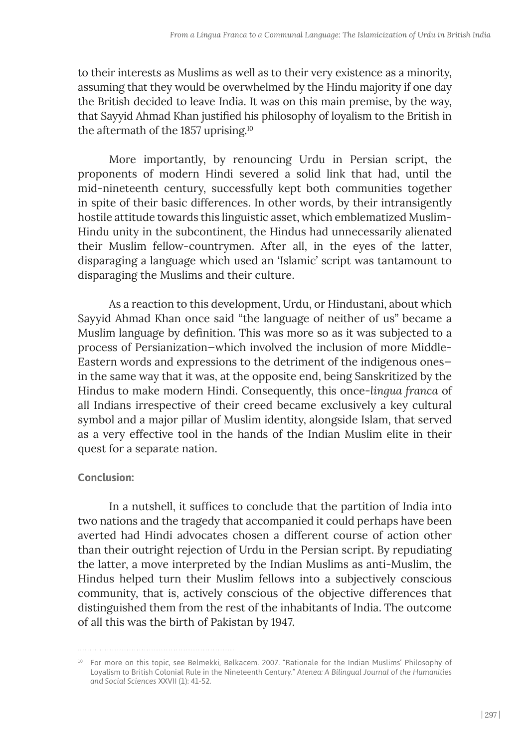to their interests as Muslims as well as to their very existence as a minority, assuming that they would be overwhelmed by the Hindu majority if one day the British decided to leave India. It was on this main premise, by the way, that Sayyid Ahmad Khan justified his philosophy of loyalism to the British in the aftermath of the 1857 uprising.10

More importantly, by renouncing Urdu in Persian script, the proponents of modern Hindi severed a solid link that had, until the mid-nineteenth century, successfully kept both communities together in spite of their basic differences. In other words, by their intransigently hostile attitude towards this linguistic asset, which emblematized Muslim-Hindu unity in the subcontinent, the Hindus had unnecessarily alienated their Muslim fellow-countrymen. After all, in the eyes of the latter, disparaging a language which used an 'Islamic' script was tantamount to disparaging the Muslims and their culture.

As a reaction to this development, Urdu, or Hindustani, about which Sayyid Ahmad Khan once said "the language of neither of us" became a Muslim language by definition. This was more so as it was subjected to a process of Persianization—which involved the inclusion of more Middle-Eastern words and expressions to the detriment of the indigenous ones in the same way that it was, at the opposite end, being Sanskritized by the Hindus to make modern Hindi. Consequently, this once-*lingua franca* of all Indians irrespective of their creed became exclusively a key cultural symbol and a major pillar of Muslim identity, alongside Islam, that served as a very effective tool in the hands of the Indian Muslim elite in their quest for a separate nation.

# **Conclusion:**

In a nutshell, it suffices to conclude that the partition of India into two nations and the tragedy that accompanied it could perhaps have been averted had Hindi advocates chosen a different course of action other than their outright rejection of Urdu in the Persian script. By repudiating the latter, a move interpreted by the Indian Muslims as anti-Muslim, the Hindus helped turn their Muslim fellows into a subjectively conscious community, that is, actively conscious of the objective differences that distinguished them from the rest of the inhabitants of India. The outcome of all this was the birth of Pakistan by 1947.

<sup>10</sup> For more on this topic, see Belmekki, Belkacem. 2007. *"*Rationale for the Indian Muslims' Philosophy of Loyalism to British Colonial Rule in the Nineteenth Century." *Atenea: A Bilingual Journal of the Humanities and Social Sciences* XXVII (1): 41-52.